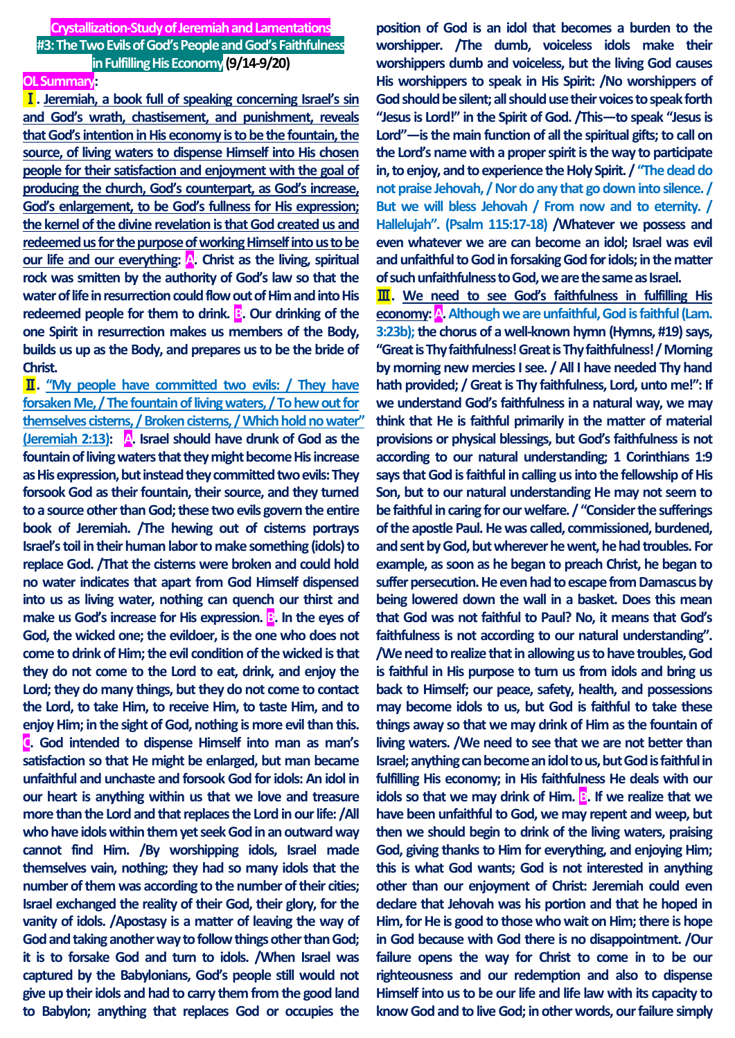**Crystallization-Study of Jeremiah and Lamentations #3:The Two Evils of God's People and God's Faithfulness in Fulfilling His Economy(9/14-9/20)**

# **OL Summary:**

Ⅰ**. Jeremiah, a book full of speaking concerning Israel's sin and God's wrath, chastisement, and punishment, reveals that God's intention in His economy is to be the fountain, the source, of living waters to dispense Himself into His chosen people for their satisfaction and enjoyment with the goal of producing the church, God's counterpart, as God's increase, God's enlargement, to be God's fullness for His expression; the kernel of the divine revelation is that God created us and redeemed us for the purpose of working Himself into us to be <u>our life and our everything</u>: A. Christ as the living, spiritual rock was smitten by the authority of God's law so that the water of life in resurrection could flow out of Him and into His redeemed people for them to drink. <b>B**. Our drinking of the **one Spirit in resurrection makes us members of the Body, builds us up as the Body, and prepares us to be the bride of Christ.**

Ⅱ**. "My people have committed two evils: / They have forsaken Me, / The fountain of living waters, / To hew out for themselves cisterns, / Broken cisterns, / Which hold no water" (Jeremiah 2:13): A. Israel should have drunk of God as the fountain of living waters that they might become His increase as His expression, but instead they committed two evils:They forsook God as their fountain, their source, and they turned to a source other than God; these two evils govern the entire book of Jeremiah. /The hewing out of cisterns portrays Israel's toil in their human labor to make something (idols) to replace God. /That the cisterns were broken and could hold no water indicates that apart from God Himself dispensed into us as living water, nothing can quench our thirst and make us God's increase for His expression. B.** In the eyes of **God, the wicked one; the evildoer, is the one who does not come to drink of Him; the evil condition of the wicked is that they do not come to the Lord to eat, drink, and enjoy the Lord; they do many things, but they do not come to contact the Lord, to take Him, to receive Him, to taste Him, and to enjoy Him; in the sight of God, nothing is more evil than this. C. God intended to dispense Himself into man as man's satisfaction so that He might be enlarged, but man became unfaithful and unchaste and forsook God for idols: An idol in our heart is anything within us that we love and treasure more than the Lord and that replaces the Lord in our life: /All who have idols within them yet seek God in an outward way cannot find Him. /By worshipping idols, Israel made themselves vain, nothing; they had so many idols that the number of them was according to the number of their cities; Israel exchanged the reality of their God, their glory, for the vanity of idols. /Apostasy is a matter of leaving the way of God and taking another way to follow things other than God; it is to forsake God and turn to idols. /When Israel was captured by the Babylonians, God's people still would not give up their idols and had to carry them from the good land to Babylon; anything that replaces God or occupies the** 

**position of God is an idol that becomes a burden to the worshipper. /The dumb, voiceless idols make their worshippers dumb and voiceless, but the living God causes His worshippers to speak in His Spirit: /No worshippers of God should be silent; all should use their voices to speak forth "Jesus is Lord!" in the Spirit of God. /This—to speak "Jesus is Lord"—is the main function of all the spiritual gifts; to call on the Lord's name with a proper spirit is the way to participate in, to enjoy, and to experience the Holy Spirit. / "The dead do not praise Jehovah, / Nor do any that go down into silence. / But we will bless Jehovah / From now and to eternity. / Hallelujah". (Psalm 115:17-18) /Whatever we possess and even whatever we are can become an idol; Israel was evil and unfaithful to God in forsaking God for idols; in the matter of such unfaithfulness to God, we are the same as Israel.**

Ⅲ**. We need to see God's faithfulness in fulfilling His economy:** A. Although we are unfaithful, God is faithful (Lam. **3:23b); the chorus of a well-known hymn (Hymns, #19) says, "Great is Thy faithfulness! Great is Thy faithfulness! / Morning by morning new mercies I see. / All I have needed Thy hand hath provided; / Great is Thy faithfulness, Lord, unto me!": If we understand God's faithfulness in a natural way, we may think that He is faithful primarily in the matter of material provisions or physical blessings, but God's faithfulness is not according to our natural understanding; 1 Corinthians 1:9 says that God is faithful in calling us into the fellowship of His Son, but to our natural understanding He may not seem to be faithful in caring for our welfare. / "Consider the sufferings of the apostle Paul. He was called, commissioned, burdened, and sent by God, but wherever he went, he had troubles. For example, as soon as he began to preach Christ, he began to suffer persecution. He even had to escape from Damascus by being lowered down the wall in a basket. Does this mean that God was not faithful to Paul? No, it means that God's faithfulness is not according to our natural understanding". /We need to realize that in allowing us to have troubles, God is faithful in His purpose to turn us from idols and bring us back to Himself; our peace, safety, health, and possessions may become idols to us, but God is faithful to take these things away so that we may drink of Him as the fountain of living waters. /We need to see that we are not better than Israel; anything can become an idol to us, but God is faithful in fulfilling His economy; in His faithfulness He deals with our idols so that we may drink of Him.**  $\mathbf{B}$ . If we realize that we **have been unfaithful to God, we may repent and weep, but then we should begin to drink of the living waters, praising God, giving thanks to Him for everything, and enjoying Him; this is what God wants; God is not interested in anything other than our enjoyment of Christ: Jeremiah could even declare that Jehovah was his portion and that he hoped in Him, for He is good to those who wait on Him; there is hope in God because with God there is no disappointment. /Our failure opens the way for Christ to come in to be our righteousness and our redemption and also to dispense Himself into us to be our life and life law with its capacity to know God and to live God; in other words, our failure simply**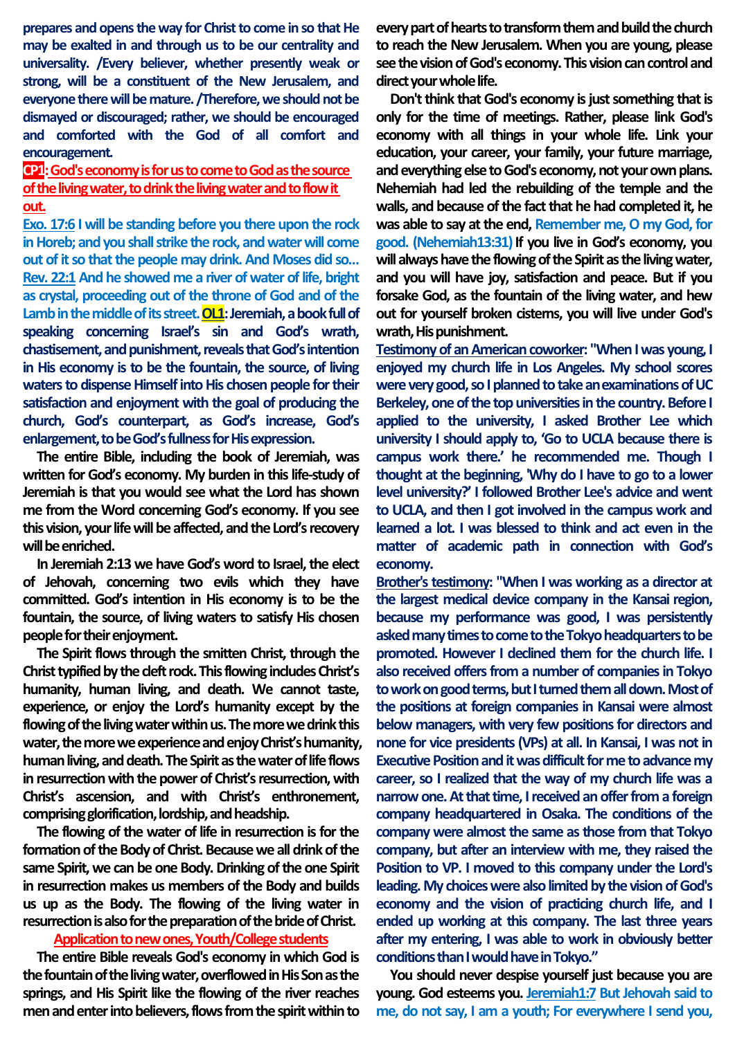**prepares and opens the way for Christ to come in so that He may be exalted in and through us to be our centrality and universality. /Every believer, whether presently weak or strong, will be a constituent of the New Jerusalem, and everyone there will be mature. /Therefore, we should not be dismayed or discouraged; rather, we should be encouraged and comforted with the God of all comfort and encouragement.**

### **CP1:** God's economy is for us to come to God as the source **of the living water, to drink the living water and to flow it out.**

**Exo. 17:6 I will be standing before you there upon the rock in Horeb; and youshall strike the rock, and water will come out of it so that the people may drink. And Moses did so… Rev. 22:1 And he showed me a river of water of life, bright as crystal, proceeding out of the throne of God and of the**  Lamb in the middle of its street. **OL1**: Jeremiah, a book full of **speaking concerning Israel's sin and God's wrath, chastisement, and punishment, reveals that God's intention in His economy is to be the fountain, the source, of living waters to dispense Himself into His chosen people for their satisfaction and enjoyment with the goal of producing the church, God's counterpart, as God's increase, God's enlargement, to be God's fullness for His expression.**

**The entire Bible, including the book of Jeremiah, was written for God's economy. My burden in this life-study of Jeremiah is that you would see what the Lord has shown me from the Word concerning God's economy. If you see this vision, your life will be affected, and the Lord's recovery will be enriched.** 

**In Jeremiah 2:13 we have God's word to Israel, the elect of Jehovah, concerning two evils which they have committed. God's intention in His economy is to be the fountain, the source, of living waters to satisfy His chosen people for their enjoyment.**

**The Spirit flows through the smitten Christ, through the Christ typified by the cleft rock. This flowing includes Christ's humanity, human living, and death. We cannot taste, experience, or enjoy the Lord's humanity except by the flowing of the living water within us. The more we drink this water, the more we experience and enjoy Christ's humanity, human living, and death. The Spirit as the water of life flows in resurrection with the power of Christ's resurrection, with Christ's ascension, and with Christ's enthronement, comprising glorification, lordship, and headship.**

**The flowing of the water of life in resurrection is for the formation of the Body of Christ. Because we all drink of the same Spirit, we can be one Body. Drinking of the one Spirit in resurrection makes us members of the Body and builds us up as the Body. The flowing of the living water in resurrection is also for the preparation of the bride of Christ.**

# **Application to new ones, Youth/College students**

**The entire Bible reveals God's economy in which God is the fountainof the living water, overflowed in His Son as the springs, and His Spirit like the flowing of the river reaches men and enter into believers, flows from the spirit within to** 

**every part of hearts to transformthem and build the church to reach the New Jerusalem. When you are young, please see the vision of God's economy. This vision can controland direct your whole life.**

**Don't think that God's economy is just something that is only for the time of meetings. Rather, please link God's economy with all things in your whole life. Link your education, your career, your family, your future marriage, and everything else to God's economy, not your own plans. Nehemiah had led the rebuilding of the temple and the walls, and because of the fact that he had completed it, he was able to say at the end, Remember me, O my God, for good. (Nehemiah13:31)If you live in God's economy, you will always have the flowing of the Spirit as the living water, and you will have joy, satisfaction and peace. But if you forsake God, as the fountain of the living water, and hew out for yourself broken cisterns, you will live under God's wrath, His punishment.**

**Testimony of an American coworker: "When I was young, I enjoyed my church life in Los Angeles. My school scores were very good, so I planned to take anexaminations of UC Berkeley, one of the top universities in the country. Before I applied to the university, I asked Brother Lee which university I should apply to, 'Go to UCLA because there is campus work there.' he recommended me. Though I thought at the beginning, 'Why do I have to go to a lower level university?' I followed Brother Lee's advice and went to UCLA, and then I got involved in the campus work and learned a lot. I was blessed to think and act even in the matter of academic path in connection with God's economy.**

**Brother's testimony: "When I was working as a director at the largest medical device company in the Kansai region, because my performance was good, I was persistently asked many times to come to the Tokyo headquarters to be promoted. However I declined them for the church life. I also received offers from a number of companies in Tokyo to work on good terms, but I turned them all down. Most of the positions at foreign companies in Kansai were almost below managers, with very few positions for directors and none for vice presidents (VPs) at all. In Kansai, I was not in Executive Position and it was difficult for me to advance my career, so I realized that the way of my church life was a narrow one. At that time, I received an offer from a foreign company headquartered in Osaka. The conditions of the company were almost the same as those from that Tokyo company, but after an interview with me, they raised the Position to VP. I moved to this company under the Lord's leading. My choices were also limited by the vision of God's economy and the vision of practicing church life, and I ended up working at this company. The last three years after my entering, I was able to work in obviously better conditions than I would have in Tokyo."**

**You should never despise yourself just because you are young. God esteems you. Jeremiah1:7 But Jehovah said to me, do not say, I am a youth; For everywhere I send you,**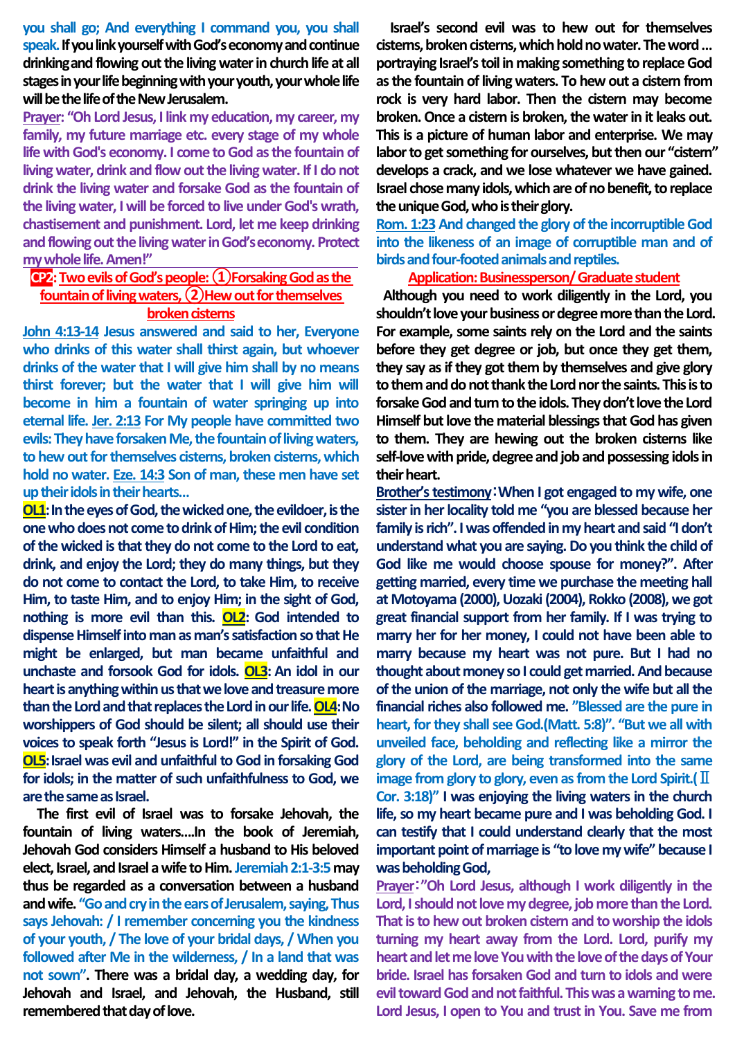**you shall go; And everything I command you, you shall speak. If you linkyourself with God's economy and continue drinkingand flowing out the living water in church life at all stages in your life beginning with your youth, your whole life will be the life of the New Jerusalem.**

**Prayer: "Oh Lord Jesus, I link my education, my career, my family, my future marriage etc. every stage of my whole life with God's economy. I come to God as the fountain of living water, drink and flow out the living water. If I do not drink the living water and forsake God as the fountain of the living water, I will be forced to live under God's wrath, chastisement and punishment. Lord, let me keep drinking and flowingout the living water in God'seconomy. Protect my whole life. Amen!"** 

**CP2:Two evils of God's people: ①Forsaking God as the fountain of living waters, ②Hew out for themselves broken cisterns**

**John 4:13-14 Jesus answered and said to her, Everyone who drinks of this water shall thirst again, but whoever drinks of the water that I will give him shall by no means thirst forever; but the water that I will give him will become in him a fountain of water springing up into eternal life. Jer. 2:13 For My people have committed two evils: They have forsaken Me, the fountain of living waters, to hew out for themselves cisterns, broken cisterns, which hold no water. Eze. 14:3 Son of man, these men have set up their idols in their hearts…**

**OL1:** In the eyes of God, the wicked one, the evildoer, is the **one who does not come to drink of Him; the evil condition of the wicked is that they do not come to the Lord to eat, drink, and enjoy the Lord; they do many things, but they do not come to contact the Lord, to take Him, to receive Him, to taste Him, and to enjoy Him; in the sight of God, nothing is more evil than this. OL2: God intended to dispense Himself into man as man's satisfaction so that He might be enlarged, but man became unfaithful and unchaste and forsook God for idols. OL3: An idol in our heart is anything within us that we love and treasure more than the Lord and that replaces the Lord in our life. OL4:No worshippers of God should be silent; all should use their voices to speak forth "Jesus is Lord!" in the Spirit of God. OL5:** Israel was evil and unfaithful to God in forsaking God **for idols; in the matter of such unfaithfulness to God, we**  are the same as Israel.

**The first evil of Israel was to forsake Jehovah, the fountain of living waters….In the book of Jeremiah, Jehovah God considers Himself a husband to His beloved elect, Israel, and Israel a wife to Him. Jeremiah 2:1-3:5may thus be regarded as a conversation between a husband and wife. "Go and cry in the ears of Jerusalem, saying, Thus says Jehovah: / I remember concerning you the kindness of your youth, / The love of your bridal days, / When you followed after Me in the wilderness, / In a land that was not sown". There was a bridal day, a wedding day, for Jehovah and Israel, and Jehovah, the Husband, still remembered that day of love.** 

**Israel's second evil was to hew out for themselves cisterns, broken cisterns, which hold no water. The word … portraying Israel's toil in making something to replace God as the fountain of living waters. To hew out a cistern from rock is very hard labor. Then the cistern may become broken. Once a cistern is broken, the water in it leaks out. This is a picture of human labor and enterprise. We may labor to get something for ourselves, but then our "cistern" develops a crack, and we lose whatever we have gained. Israel chose many idols, which are of no benefit, to replace the unique God, who is their glory.**

## **Rom. 1:23 And changed the glory of the incorruptible God into the likeness of an image of corruptible man and of birds and four-footed animals and reptiles.**

#### **Application: Businessperson/ Graduate student**

**Although you need to work diligently in the Lord, you shouldn't love your business or degree more than the Lord. For example, some saints rely on the Lord and the saints before they get degree or job, but once they get them, they say as if they got them by themselves and give glory to them and do not thank the Lord nor the saints. This is to forsake God and turn to the idols. They don't love the Lord Himself but love the material blessings that God has given to them. They are hewing out the broken cisterns like self-love with pride, degree and job and possessing idolsin their heart.** 

**Brother's testimony**:**When I got engaged to my wife, one sister in her locality told me "you are blessed because her family is rich". I was offended in my heart and said "I don't understand what you are saying. Do you think the child of God like me would choose spouse for money?". After getting married, every time we purchase the meeting hall atMotoyama (2000), Uozaki (2004), Rokko (2008), we got great financial support from her family. If I was trying to marry her for her money, I could not have been able to marry because my heart was not pure. But I had no thought about money so I could get married. And because of the union of the marriage, not only the wife but all the financial riches also followed me. "Blessed are the pure in heart, for they shall see God.(Matt. 5:8)". "But we all with unveiled face, beholding and reflecting like a mirror the glory of the Lord, are being transformed into the same image from glory to glory, even as from the Lord Spirit.(**  $\mathbb I$ **Cor. 3:18)" I was enjoying the living waters in the church life, so my heart became pure and I was beholding God. I can testify that I could understand clearly that the most important point of marriage is "to love my wife" because I was beholding God,**

**Prayer**:**"Oh Lord Jesus, although I work diligently in the Lord, I should not love my degree, job more than the Lord. That is to hew out broken cistern and to worship the idols turning my heart away from the Lord. Lord, purify my heart and let me love You with the love of the days of Your bride. Israel has forsaken God and turn to idols and were evil toward God and not faithful. This was a warning to me. Lord Jesus, I open to You and trust in You. Save me from**